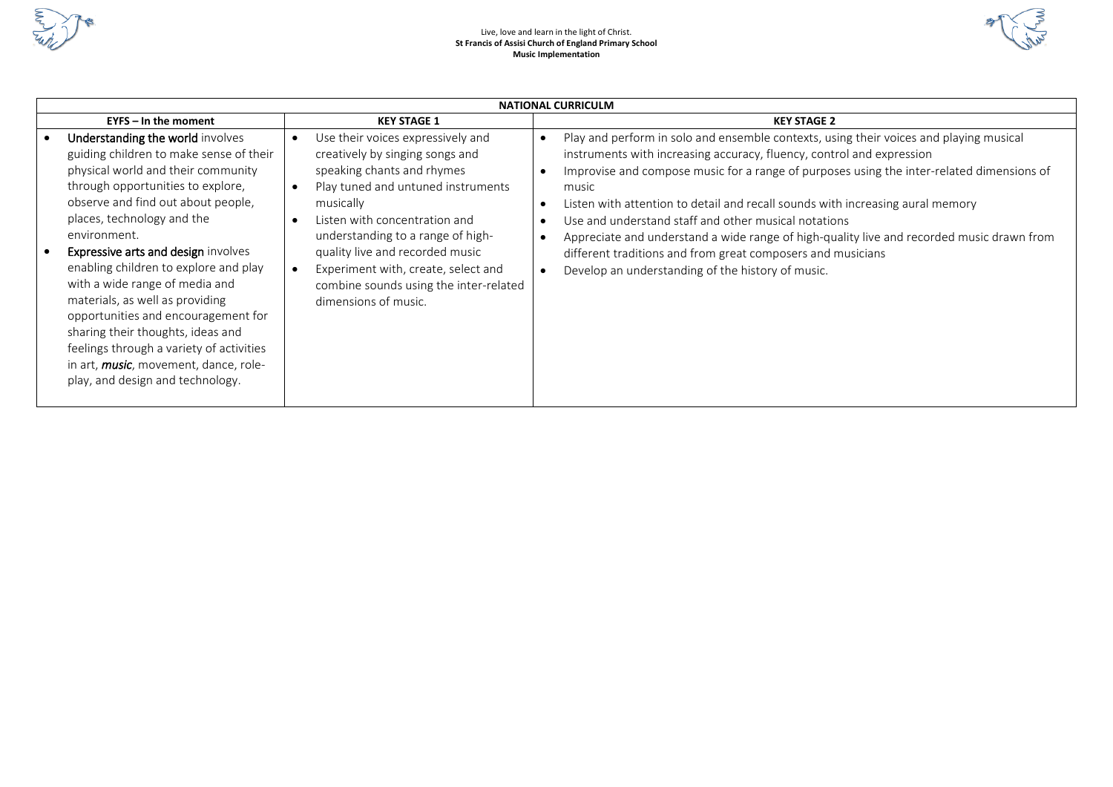



| <b>NATIONAL CURRICULM</b>                                                                                                                                                                                                                                                                                                                                                                                                                                                                                                                                                                                                 |                                                                                                                                                                                                                                                                                                                                                                                                                             |                                                                                                                                                                                                                                                                                                                                                                                                                                                                                                                                                                                                                                  |  |  |  |  |  |  |  |
|---------------------------------------------------------------------------------------------------------------------------------------------------------------------------------------------------------------------------------------------------------------------------------------------------------------------------------------------------------------------------------------------------------------------------------------------------------------------------------------------------------------------------------------------------------------------------------------------------------------------------|-----------------------------------------------------------------------------------------------------------------------------------------------------------------------------------------------------------------------------------------------------------------------------------------------------------------------------------------------------------------------------------------------------------------------------|----------------------------------------------------------------------------------------------------------------------------------------------------------------------------------------------------------------------------------------------------------------------------------------------------------------------------------------------------------------------------------------------------------------------------------------------------------------------------------------------------------------------------------------------------------------------------------------------------------------------------------|--|--|--|--|--|--|--|
| $EYPS - In$ the moment                                                                                                                                                                                                                                                                                                                                                                                                                                                                                                                                                                                                    | <b>KEY STAGE 1</b>                                                                                                                                                                                                                                                                                                                                                                                                          | <b>KEY STAGE 2</b>                                                                                                                                                                                                                                                                                                                                                                                                                                                                                                                                                                                                               |  |  |  |  |  |  |  |
| Understanding the world involves<br>guiding children to make sense of their<br>physical world and their community<br>through opportunities to explore,<br>observe and find out about people,<br>places, technology and the<br>environment.<br>Expressive arts and design involves<br>$\bullet$<br>enabling children to explore and play<br>with a wide range of media and<br>materials, as well as providing<br>opportunities and encouragement for<br>sharing their thoughts, ideas and<br>feelings through a variety of activities<br>in art, <b>music</b> , movement, dance, role-<br>play, and design and technology. | Use their voices expressively and<br>$\bullet$<br>creatively by singing songs and<br>speaking chants and rhymes<br>Play tuned and untuned instruments<br>$\bullet$<br>musically<br>Listen with concentration and<br>$\bullet$<br>understanding to a range of high-<br>quality live and recorded music<br>Experiment with, create, select and<br>$\bullet$<br>combine sounds using the inter-related<br>dimensions of music. | Play and perform in solo and ensemble contexts, using their voices and playing musical<br>instruments with increasing accuracy, fluency, control and expression<br>Improvise and compose music for a range of purposes using the inter-related dimensions of<br>music<br>Listen with attention to detail and recall sounds with increasing aural memory<br>Use and understand staff and other musical notations<br>Appreciate and understand a wide range of high-quality live and recorded music drawn from<br>different traditions and from great composers and musicians<br>Develop an understanding of the history of music. |  |  |  |  |  |  |  |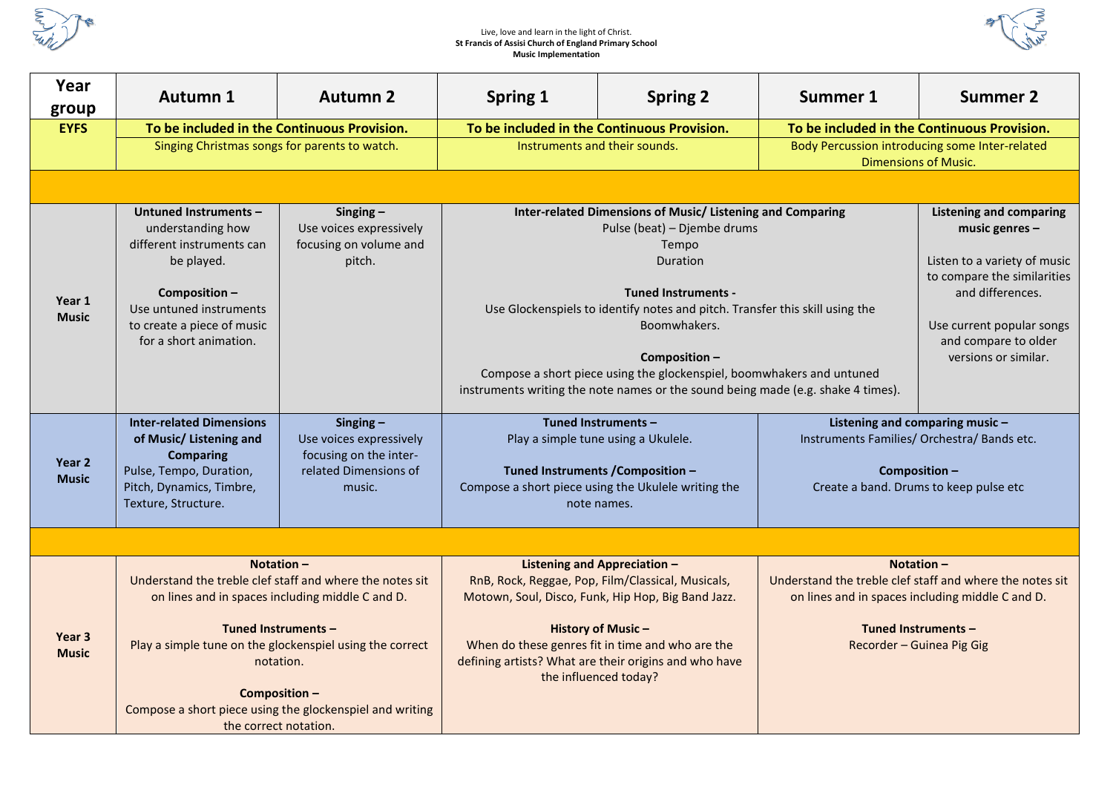

## Live, love and learn in the light of Christ. **St Francis of Assisi Church of England Primary School Music Implementation**



| Year<br>group                     | <b>Autumn 1</b>                                                                                                                                                                                                                                                                                                                   | <b>Autumn 2</b>                                                                                     | <b>Spring 1</b>                                                                                                                                                                                                                                                                                                                                                                                                           | <b>Spring 2</b>                                                                                                                                                                                                                                                                                                  | Summer 1                                                                                                                                                                                                           | <b>Summer 2</b>                                                                                                                          |
|-----------------------------------|-----------------------------------------------------------------------------------------------------------------------------------------------------------------------------------------------------------------------------------------------------------------------------------------------------------------------------------|-----------------------------------------------------------------------------------------------------|---------------------------------------------------------------------------------------------------------------------------------------------------------------------------------------------------------------------------------------------------------------------------------------------------------------------------------------------------------------------------------------------------------------------------|------------------------------------------------------------------------------------------------------------------------------------------------------------------------------------------------------------------------------------------------------------------------------------------------------------------|--------------------------------------------------------------------------------------------------------------------------------------------------------------------------------------------------------------------|------------------------------------------------------------------------------------------------------------------------------------------|
| <b>EYFS</b>                       | To be included in the Continuous Provision.                                                                                                                                                                                                                                                                                       |                                                                                                     | To be included in the Continuous Provision.                                                                                                                                                                                                                                                                                                                                                                               |                                                                                                                                                                                                                                                                                                                  | To be included in the Continuous Provision.                                                                                                                                                                        |                                                                                                                                          |
|                                   | Singing Christmas songs for parents to watch.                                                                                                                                                                                                                                                                                     |                                                                                                     | Instruments and their sounds.                                                                                                                                                                                                                                                                                                                                                                                             |                                                                                                                                                                                                                                                                                                                  | Body Percussion introducing some Inter-related<br><b>Dimensions of Music.</b>                                                                                                                                      |                                                                                                                                          |
|                                   |                                                                                                                                                                                                                                                                                                                                   |                                                                                                     |                                                                                                                                                                                                                                                                                                                                                                                                                           |                                                                                                                                                                                                                                                                                                                  |                                                                                                                                                                                                                    |                                                                                                                                          |
| Year 1<br><b>Music</b>            | Untuned Instruments -<br>understanding how<br>different instruments can<br>be played.<br>Composition-<br>Use untuned instruments<br>to create a piece of music<br>for a short animation.                                                                                                                                          | Singing $-$<br>Use voices expressively<br>focusing on volume and<br>pitch.                          | Inter-related Dimensions of Music/ Listening and Comparing<br>Pulse (beat) - Djembe drums<br>Tempo<br>Duration<br><b>Tuned Instruments -</b><br>Use Glockenspiels to identify notes and pitch. Transfer this skill using the<br>Boomwhakers.<br>Composition-<br>Compose a short piece using the glockenspiel, boomwhakers and untuned<br>instruments writing the note names or the sound being made (e.g. shake 4 times). |                                                                                                                                                                                                                                                                                                                  | <b>Listening and comparing</b><br>music genres $-$<br>Listen to a variety of music<br>to compare the similarities<br>and differences.<br>Use current popular songs<br>and compare to older<br>versions or similar. |                                                                                                                                          |
| Year 2<br><b>Music</b>            | <b>Inter-related Dimensions</b><br>of Music/ Listening and<br><b>Comparing</b><br>Pulse, Tempo, Duration,<br>Pitch, Dynamics, Timbre,<br>Texture, Structure.                                                                                                                                                                      | $Singing -$<br>Use voices expressively<br>focusing on the inter-<br>related Dimensions of<br>music. |                                                                                                                                                                                                                                                                                                                                                                                                                           | Tuned Instruments -<br>Play a simple tune using a Ukulele.<br>Tuned Instruments / Composition -<br>Compose a short piece using the Ukulele writing the<br>note names.                                                                                                                                            |                                                                                                                                                                                                                    | Listening and comparing music -<br>Instruments Families/ Orchestra/ Bands etc.<br>Composition-<br>Create a band. Drums to keep pulse etc |
|                                   |                                                                                                                                                                                                                                                                                                                                   |                                                                                                     |                                                                                                                                                                                                                                                                                                                                                                                                                           |                                                                                                                                                                                                                                                                                                                  |                                                                                                                                                                                                                    |                                                                                                                                          |
| Year <sub>3</sub><br><b>Music</b> | Notation $-$<br>Understand the treble clef staff and where the notes sit<br>on lines and in spaces including middle C and D.<br>Tuned Instruments -<br>Play a simple tune on the glockenspiel using the correct<br>notation.<br>Composition-<br>Compose a short piece using the glockenspiel and writing<br>the correct notation. |                                                                                                     |                                                                                                                                                                                                                                                                                                                                                                                                                           | <b>Listening and Appreciation -</b><br>RnB, Rock, Reggae, Pop, Film/Classical, Musicals,<br>Motown, Soul, Disco, Funk, Hip Hop, Big Band Jazz.<br><b>History of Music-</b><br>When do these genres fit in time and who are the<br>defining artists? What are their origins and who have<br>the influenced today? | Notation $-$<br>Understand the treble clef staff and where the notes sit<br>on lines and in spaces including middle C and D.<br>Tuned Instruments -<br>Recorder - Guinea Pig Gig                                   |                                                                                                                                          |